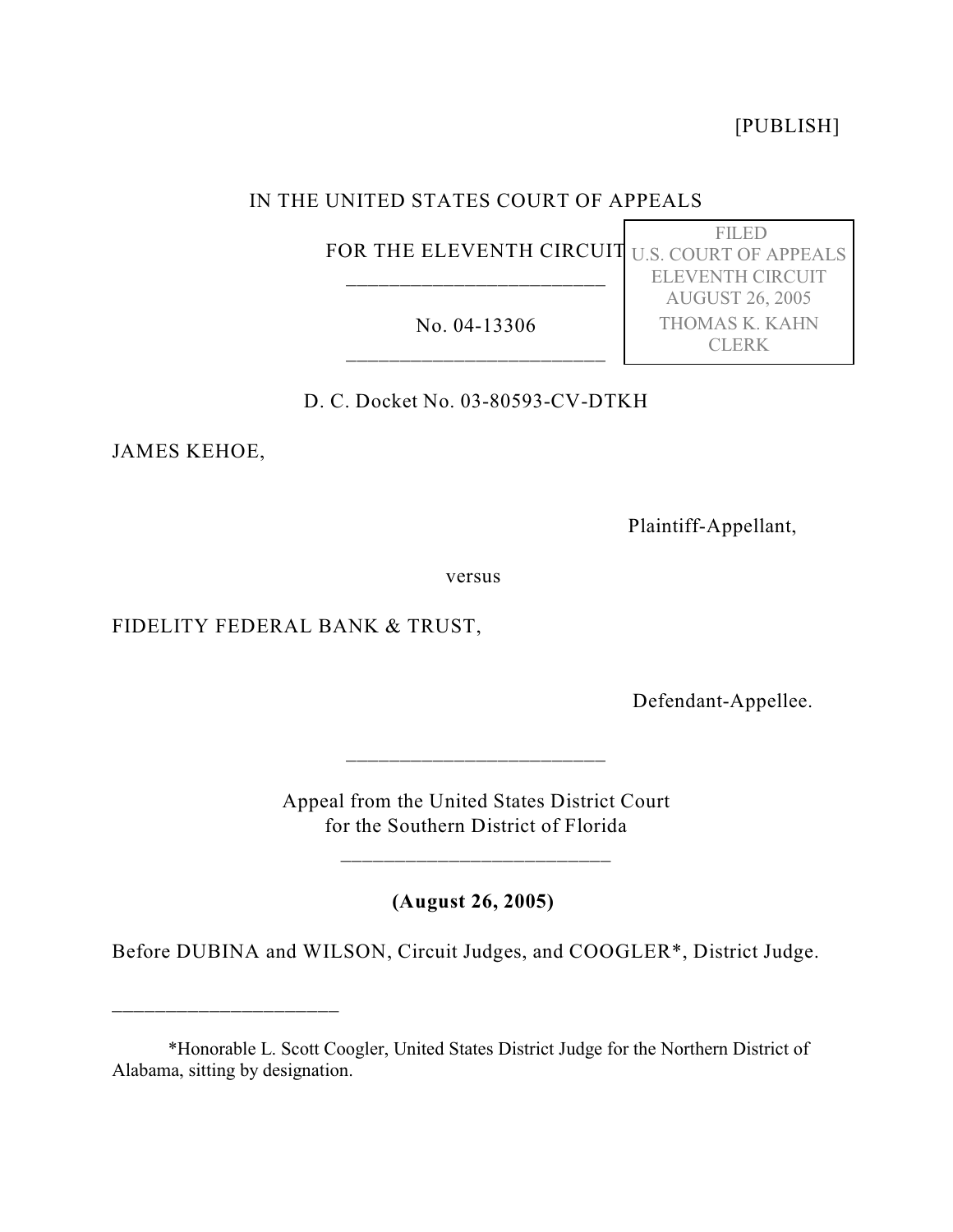[PUBLISH]

FILED

ELEVENTH CIRCUIT AUGUST 26, 2005 THOMAS K. KAHN CLERK

## IN THE UNITED STATES COURT OF APPEALS

FOR THE ELEVENTH CIRCUIT U.S. COURT OF APPEALS \_\_\_\_\_\_\_\_\_\_\_\_\_\_\_\_\_\_\_\_\_\_\_\_

No. 04-13306 \_\_\_\_\_\_\_\_\_\_\_\_\_\_\_\_\_\_\_\_\_\_\_\_

D. C. Docket No. 03-80593-CV-DTKH

JAMES KEHOE,

\_\_\_\_\_\_\_\_\_\_\_\_\_\_\_\_\_\_\_\_\_

Plaintiff-Appellant,

versus

FIDELITY FEDERAL BANK & TRUST,

Defendant-Appellee.

Appeal from the United States District Court for the Southern District of Florida

\_\_\_\_\_\_\_\_\_\_\_\_\_\_\_\_\_\_\_\_\_\_\_\_\_

\_\_\_\_\_\_\_\_\_\_\_\_\_\_\_\_\_\_\_\_\_\_\_\_

**(August 26, 2005)**

Before DUBINA and WILSON, Circuit Judges, and COOGLER\*, District Judge.

<sup>\*</sup>Honorable L. Scott Coogler, United States District Judge for the Northern District of Alabama, sitting by designation.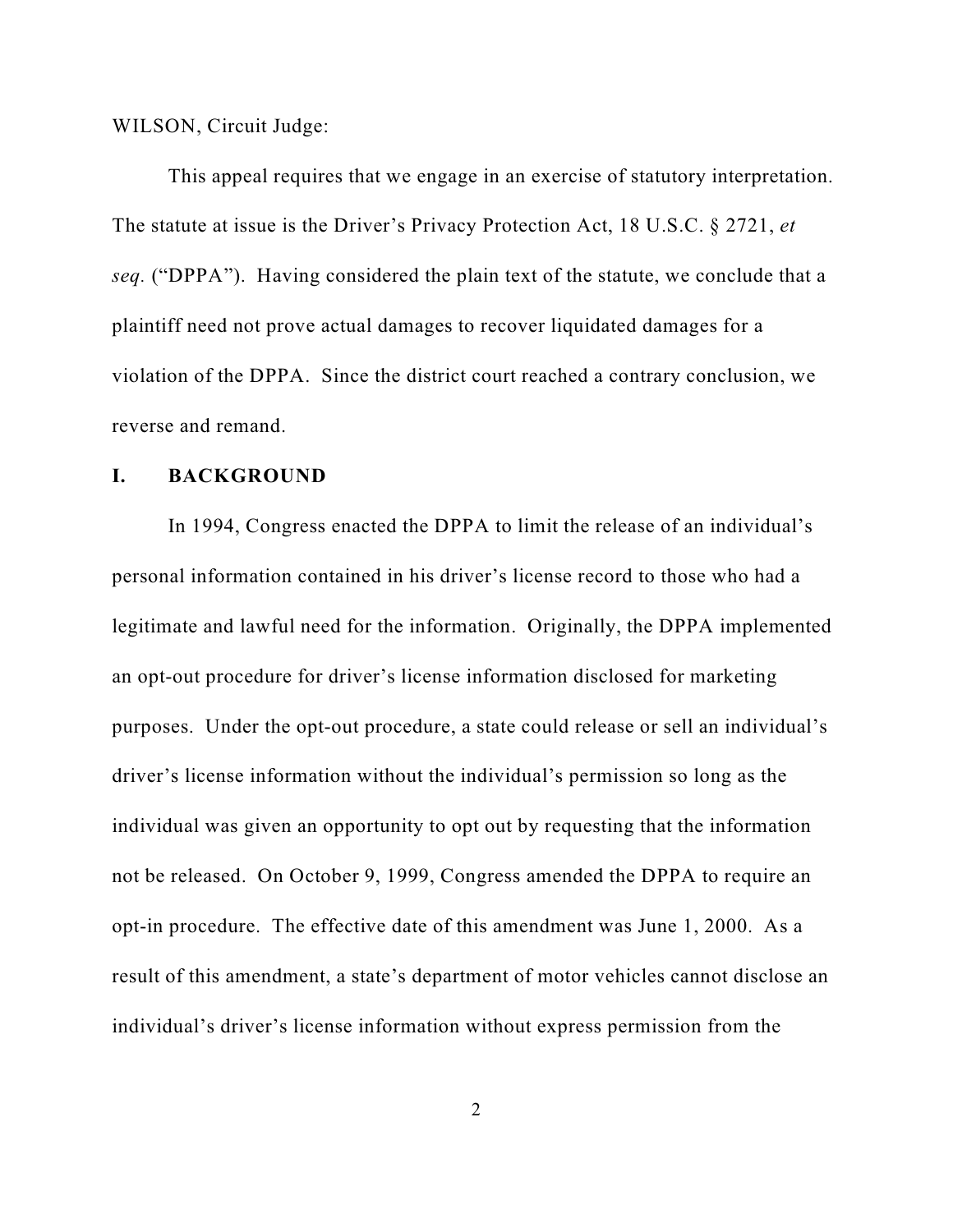WILSON, Circuit Judge:

This appeal requires that we engage in an exercise of statutory interpretation. The statute at issue is the Driver's Privacy Protection Act, 18 U.S.C. § 2721, *et seq.* ("DPPA"). Having considered the plain text of the statute, we conclude that a plaintiff need not prove actual damages to recover liquidated damages for a violation of the DPPA. Since the district court reached a contrary conclusion, we reverse and remand.

## **I. BACKGROUND**

In 1994, Congress enacted the DPPA to limit the release of an individual's personal information contained in his driver's license record to those who had a legitimate and lawful need for the information. Originally, the DPPA implemented an opt-out procedure for driver's license information disclosed for marketing purposes. Under the opt-out procedure, a state could release or sell an individual's driver's license information without the individual's permission so long as the individual was given an opportunity to opt out by requesting that the information not be released. On October 9, 1999, Congress amended the DPPA to require an opt-in procedure. The effective date of this amendment was June 1, 2000. As a result of this amendment, a state's department of motor vehicles cannot disclose an individual's driver's license information without express permission from the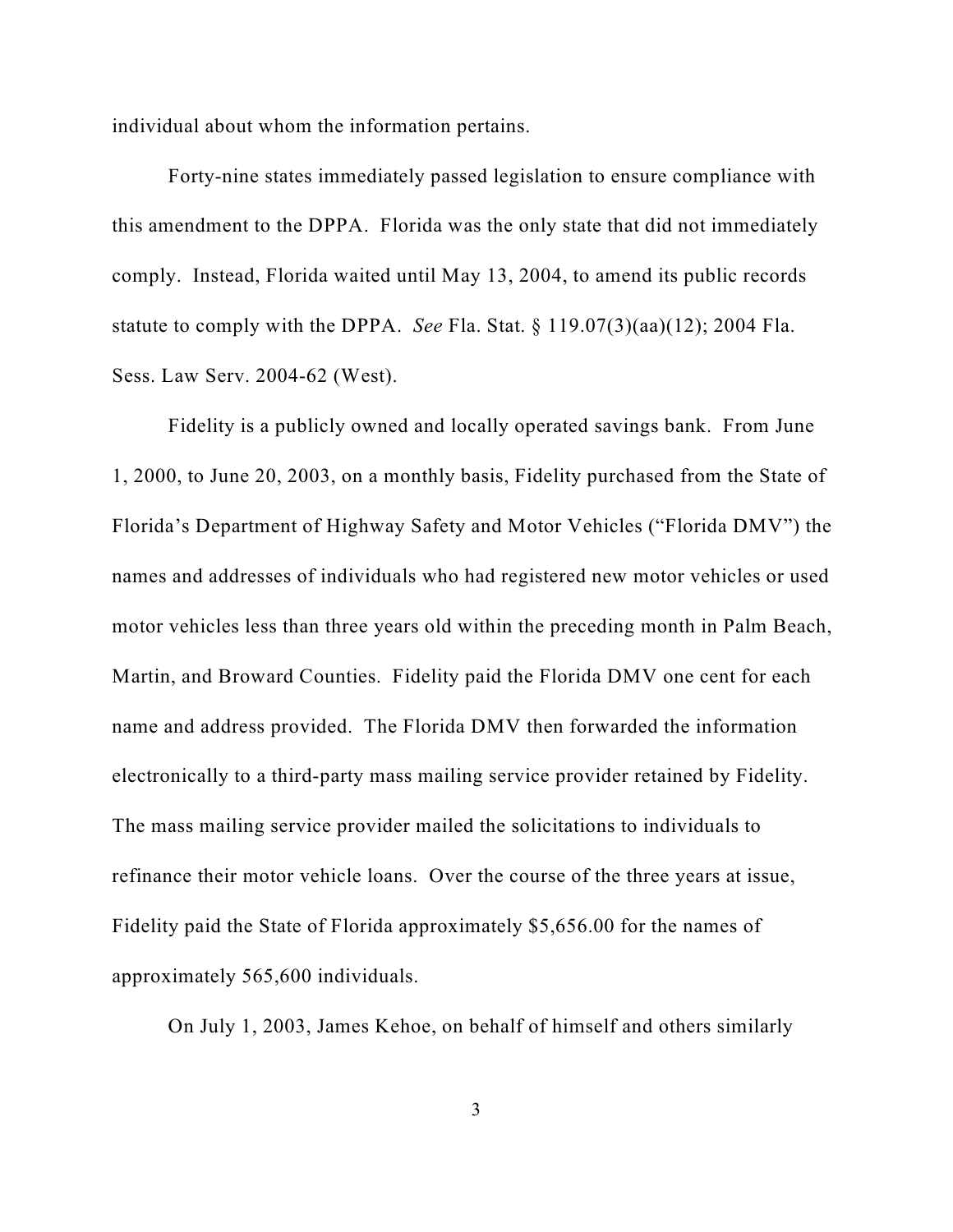individual about whom the information pertains.

Forty-nine states immediately passed legislation to ensure compliance with this amendment to the DPPA. Florida was the only state that did not immediately comply. Instead, Florida waited until May 13, 2004, to amend its public records statute to comply with the DPPA. *See* Fla. Stat. § 119.07(3)(aa)(12); 2004 Fla. Sess. Law Serv. 2004-62 (West).

Fidelity is a publicly owned and locally operated savings bank. From June 1, 2000, to June 20, 2003, on a monthly basis, Fidelity purchased from the State of Florida's Department of Highway Safety and Motor Vehicles ("Florida DMV") the names and addresses of individuals who had registered new motor vehicles or used motor vehicles less than three years old within the preceding month in Palm Beach, Martin, and Broward Counties. Fidelity paid the Florida DMV one cent for each name and address provided. The Florida DMV then forwarded the information electronically to a third-party mass mailing service provider retained by Fidelity. The mass mailing service provider mailed the solicitations to individuals to refinance their motor vehicle loans. Over the course of the three years at issue, Fidelity paid the State of Florida approximately \$5,656.00 for the names of approximately 565,600 individuals.

On July 1, 2003, James Kehoe, on behalf of himself and others similarly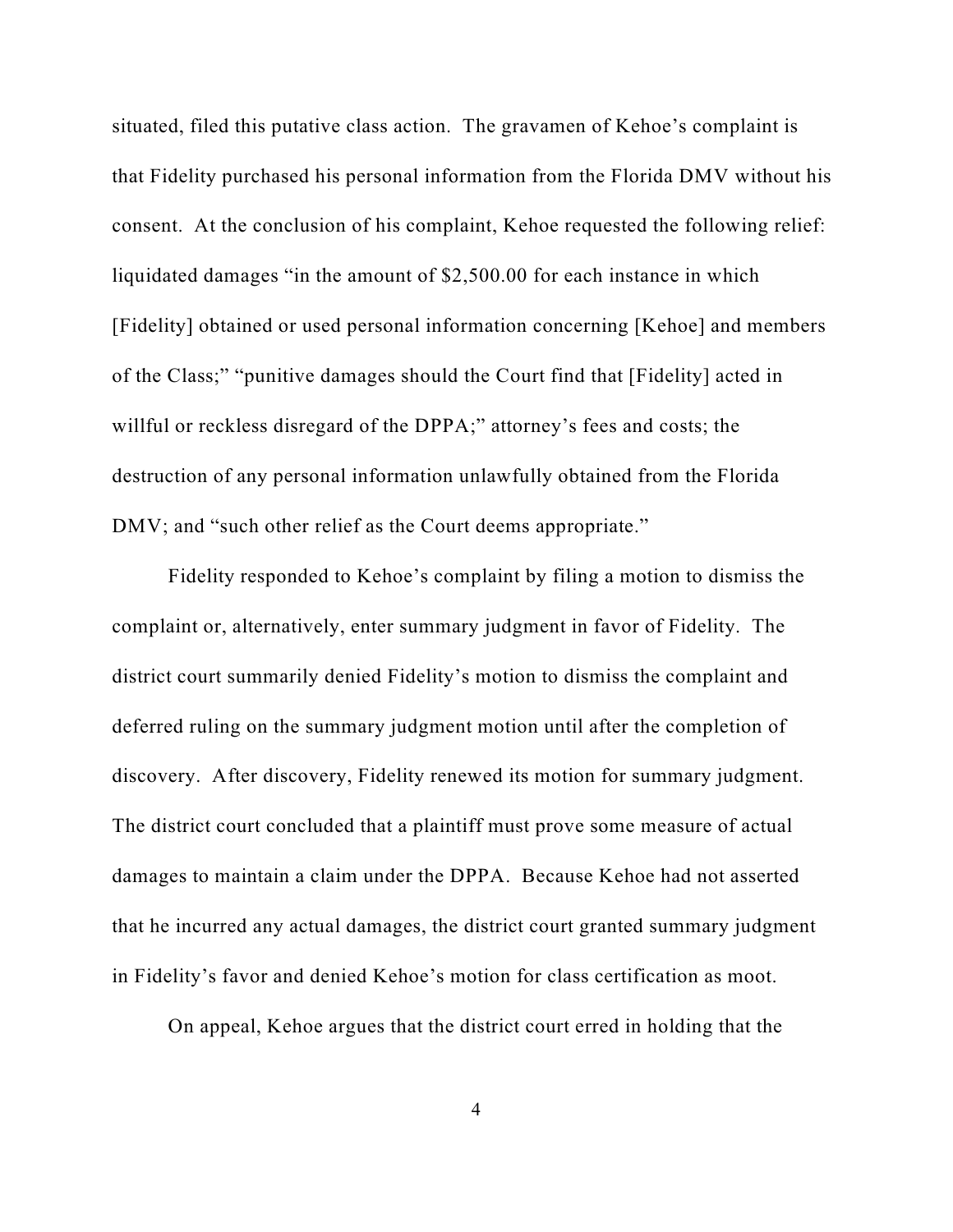situated, filed this putative class action. The gravamen of Kehoe's complaint is that Fidelity purchased his personal information from the Florida DMV without his consent. At the conclusion of his complaint, Kehoe requested the following relief: liquidated damages "in the amount of \$2,500.00 for each instance in which [Fidelity] obtained or used personal information concerning [Kehoe] and members of the Class;" "punitive damages should the Court find that [Fidelity] acted in willful or reckless disregard of the DPPA;" attorney's fees and costs; the destruction of any personal information unlawfully obtained from the Florida DMV; and "such other relief as the Court deems appropriate."

Fidelity responded to Kehoe's complaint by filing a motion to dismiss the complaint or, alternatively, enter summary judgment in favor of Fidelity. The district court summarily denied Fidelity's motion to dismiss the complaint and deferred ruling on the summary judgment motion until after the completion of discovery. After discovery, Fidelity renewed its motion for summary judgment. The district court concluded that a plaintiff must prove some measure of actual damages to maintain a claim under the DPPA. Because Kehoe had not asserted that he incurred any actual damages, the district court granted summary judgment in Fidelity's favor and denied Kehoe's motion for class certification as moot.

On appeal, Kehoe argues that the district court erred in holding that the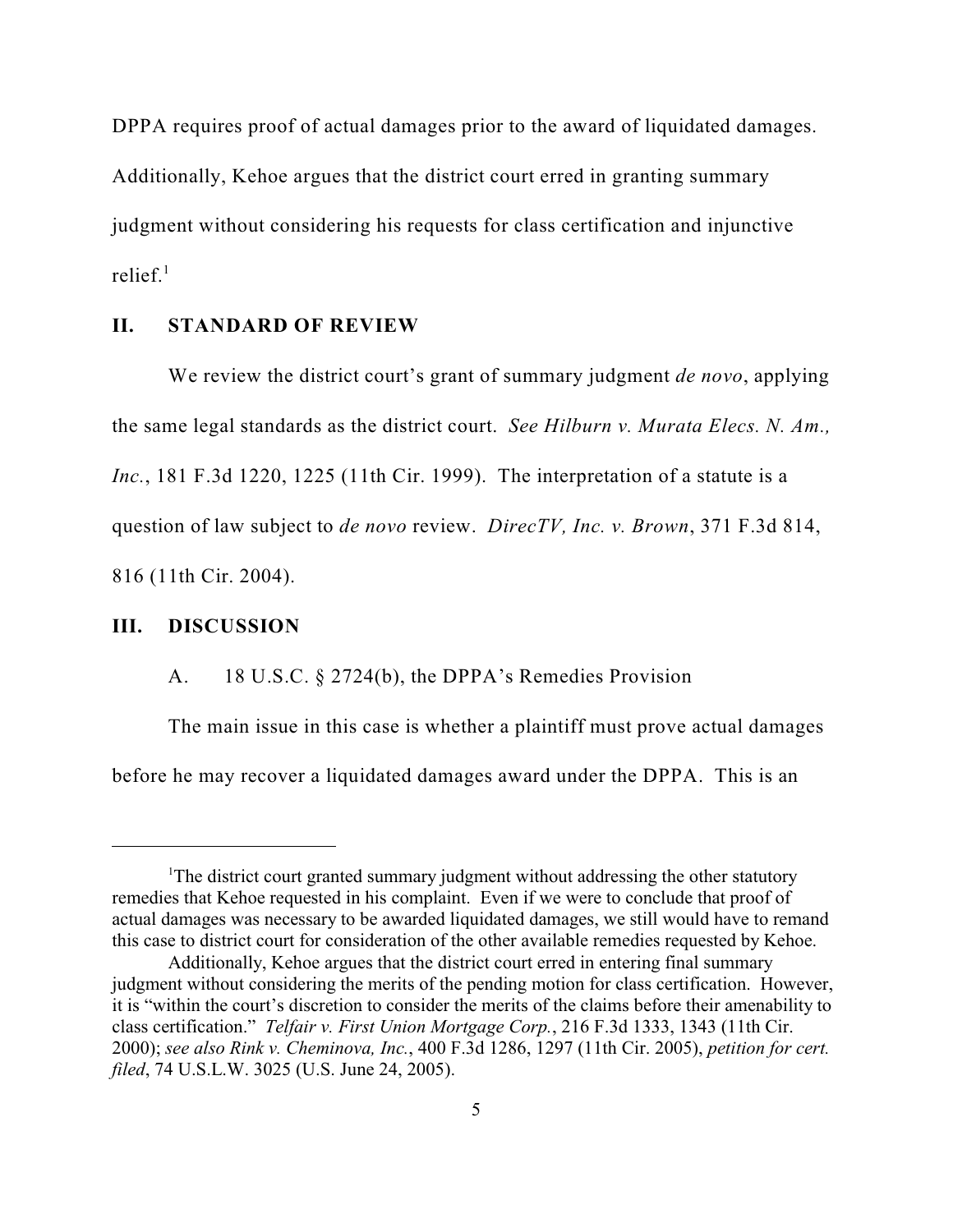DPPA requires proof of actual damages prior to the award of liquidated damages. Additionally, Kehoe argues that the district court erred in granting summary judgment without considering his requests for class certification and injunctive relief. $1$ 

#### **II. STANDARD OF REVIEW**

We review the district court's grant of summary judgment *de novo*, applying the same legal standards as the district court. *See Hilburn v. Murata Elecs. N. Am., Inc.*, 181 F.3d 1220, 1225 (11th Cir. 1999). The interpretation of a statute is a question of law subject to *de novo* review. *DirecTV, Inc. v. Brown*, 371 F.3d 814, 816 (11th Cir. 2004).

## **III. DISCUSSION**

A. 18 U.S.C. § 2724(b), the DPPA's Remedies Provision

The main issue in this case is whether a plaintiff must prove actual damages before he may recover a liquidated damages award under the DPPA. This is an

<sup>&</sup>lt;sup>1</sup>The district court granted summary judgment without addressing the other statutory remedies that Kehoe requested in his complaint. Even if we were to conclude that proof of actual damages was necessary to be awarded liquidated damages, we still would have to remand this case to district court for consideration of the other available remedies requested by Kehoe.

Additionally, Kehoe argues that the district court erred in entering final summary judgment without considering the merits of the pending motion for class certification. However, it is "within the court's discretion to consider the merits of the claims before their amenability to class certification." *Telfair v. First Union Mortgage Corp.*, 216 F.3d 1333, 1343 (11th Cir. 2000); *see also Rink v. Cheminova, Inc.*, 400 F.3d 1286, 1297 (11th Cir. 2005), *petition for cert. filed*, 74 U.S.L.W. 3025 (U.S. June 24, 2005).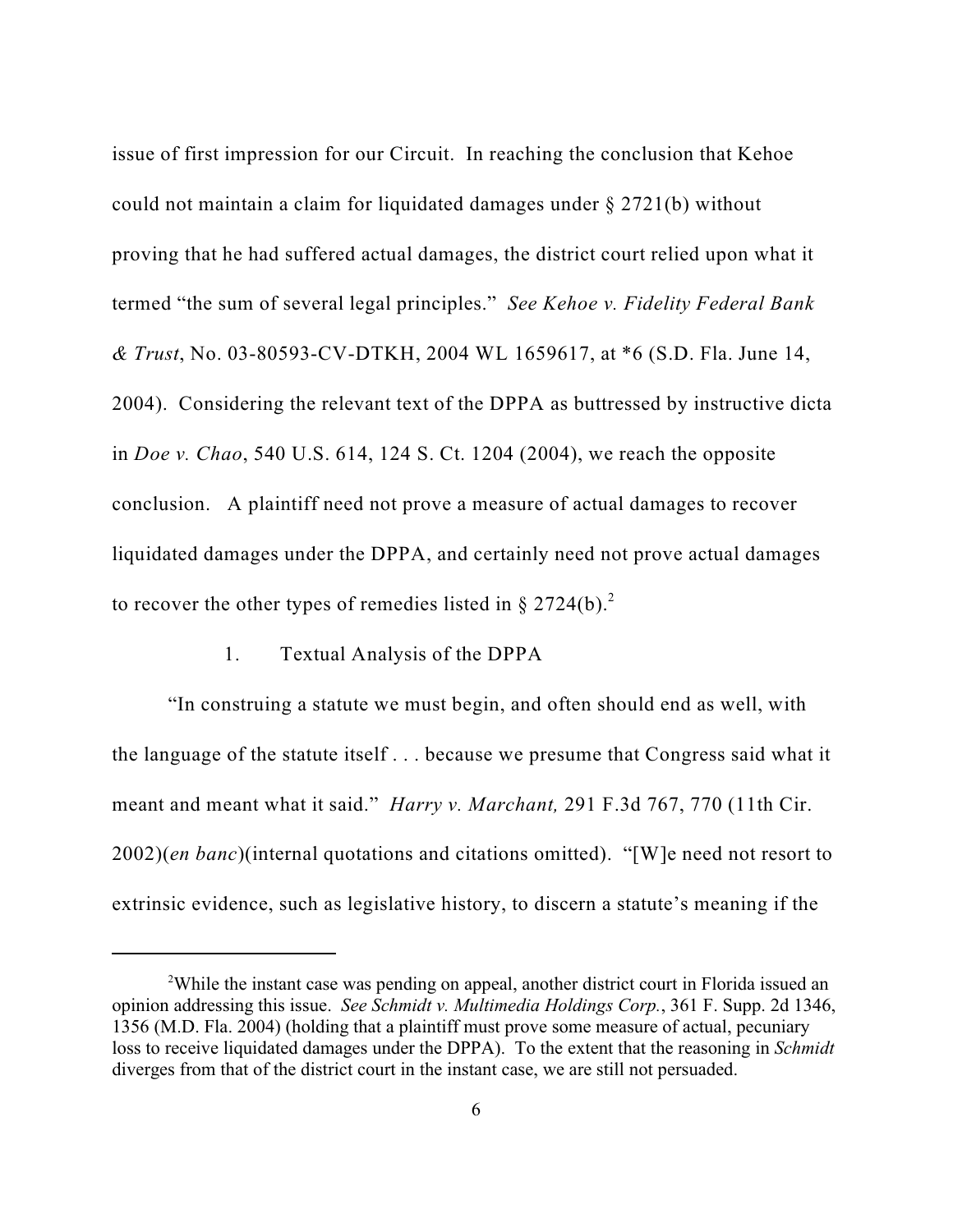issue of first impression for our Circuit. In reaching the conclusion that Kehoe could not maintain a claim for liquidated damages under § 2721(b) without proving that he had suffered actual damages, the district court relied upon what it termed "the sum of several legal principles." *See Kehoe v. Fidelity Federal Bank & Trust*, No. 03-80593-CV-DTKH, 2004 WL 1659617, at \*6 (S.D. Fla. June 14, 2004). Considering the relevant text of the DPPA as buttressed by instructive dicta in *Doe v. Chao*, 540 U.S. 614, 124 S. Ct. 1204 (2004), we reach the opposite conclusion. A plaintiff need not prove a measure of actual damages to recover liquidated damages under the DPPA, and certainly need not prove actual damages to recover the other types of remedies listed in  $\S 2724(b)$ .<sup>2</sup>

#### 1. Textual Analysis of the DPPA

"In construing a statute we must begin, and often should end as well, with the language of the statute itself . . . because we presume that Congress said what it meant and meant what it said." *Harry v. Marchant,* 291 F.3d 767, 770 (11th Cir. 2002)(*en banc*)(internal quotations and citations omitted). "[W]e need not resort to extrinsic evidence, such as legislative history, to discern a statute's meaning if the

<sup>&</sup>lt;sup>2</sup>While the instant case was pending on appeal, another district court in Florida issued an opinion addressing this issue. *See Schmidt v. Multimedia Holdings Corp.*, 361 F. Supp. 2d 1346, 1356 (M.D. Fla. 2004) (holding that a plaintiff must prove some measure of actual, pecuniary loss to receive liquidated damages under the DPPA). To the extent that the reasoning in *Schmidt* diverges from that of the district court in the instant case, we are still not persuaded.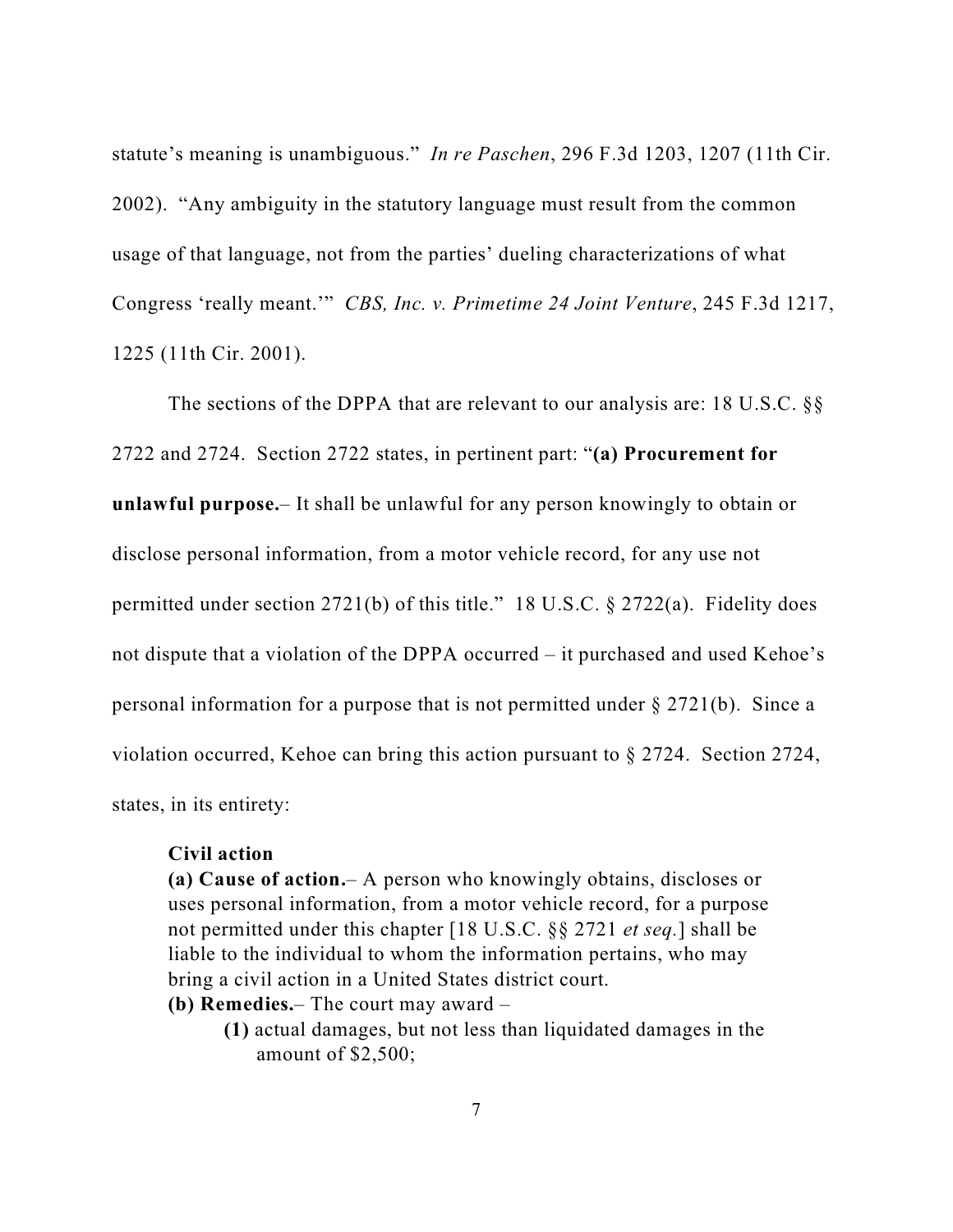statute's meaning is unambiguous." *In re Paschen*, 296 F.3d 1203, 1207 (11th Cir. 2002). "Any ambiguity in the statutory language must result from the common usage of that language, not from the parties' dueling characterizations of what Congress 'really meant.'" *CBS, Inc. v. Primetime 24 Joint Venture*, 245 F.3d 1217, 1225 (11th Cir. 2001).

The sections of the DPPA that are relevant to our analysis are: 18 U.S.C. §§ 2722 and 2724. Section 2722 states, in pertinent part: "**(a) Procurement for unlawful purpose.**– It shall be unlawful for any person knowingly to obtain or disclose personal information, from a motor vehicle record, for any use not permitted under section 2721(b) of this title." 18 U.S.C. § 2722(a). Fidelity does not dispute that a violation of the DPPA occurred – it purchased and used Kehoe's personal information for a purpose that is not permitted under § 2721(b). Since a violation occurred, Kehoe can bring this action pursuant to § 2724. Section 2724, states, in its entirety:

#### **Civil action**

**(a) Cause of action.**– A person who knowingly obtains, discloses or uses personal information, from a motor vehicle record, for a purpose not permitted under this chapter [18 U.S.C. §§ 2721 *et seq.*] shall be liable to the individual to whom the information pertains, who may bring a civil action in a United States district court.

- **(b) Remedies.** The court may award
	- **(1)** actual damages, but not less than liquidated damages in the amount of \$2,500;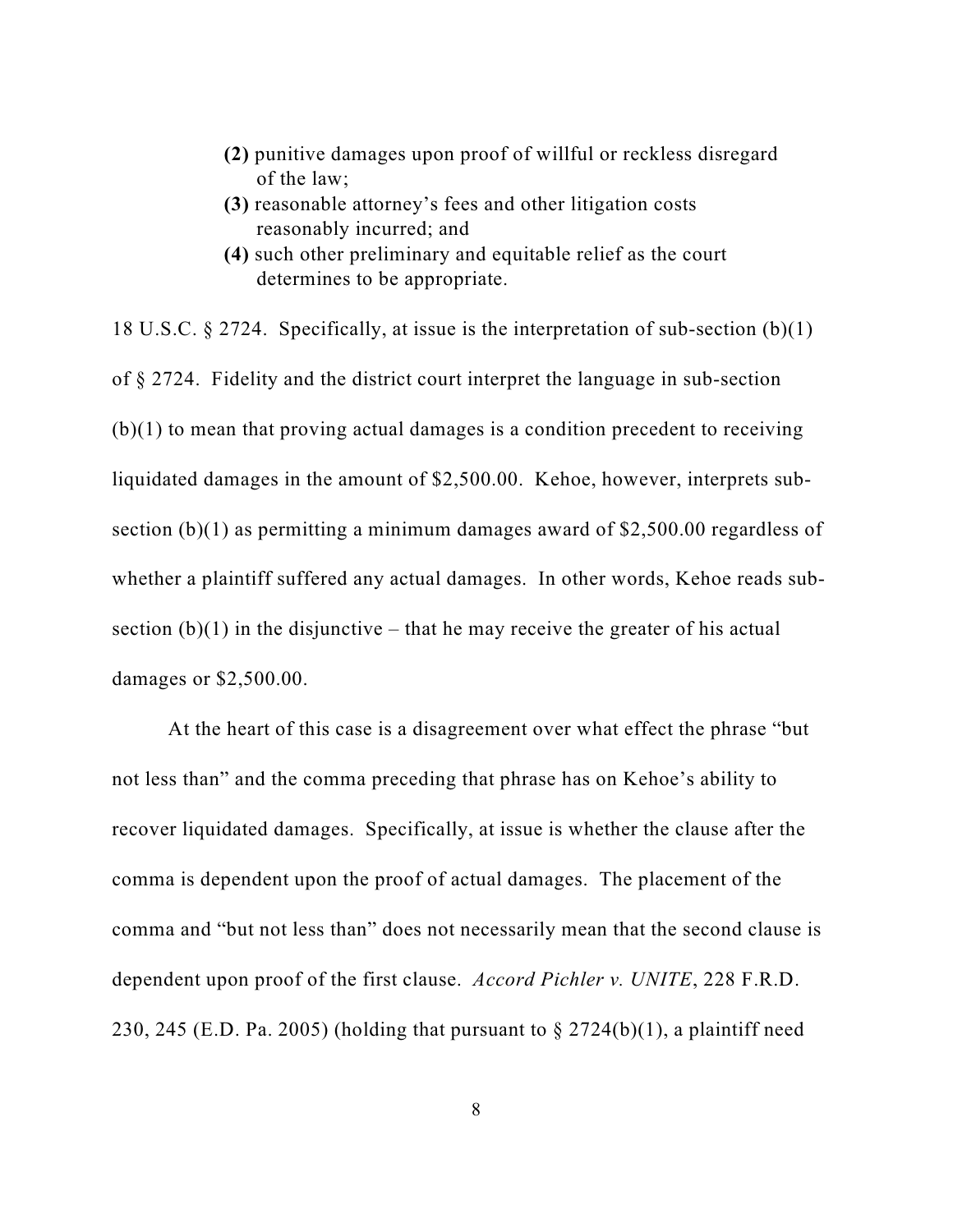- **(2)** punitive damages upon proof of willful or reckless disregard of the law;
- **(3)** reasonable attorney's fees and other litigation costs reasonably incurred; and
- **(4)** such other preliminary and equitable relief as the court determines to be appropriate.

18 U.S.C. § 2724. Specifically, at issue is the interpretation of sub-section (b)(1) of § 2724. Fidelity and the district court interpret the language in sub-section (b)(1) to mean that proving actual damages is a condition precedent to receiving liquidated damages in the amount of \$2,500.00. Kehoe, however, interprets subsection (b)(1) as permitting a minimum damages award of \$2,500.00 regardless of whether a plaintiff suffered any actual damages. In other words, Kehoe reads subsection  $(b)(1)$  in the disjunctive – that he may receive the greater of his actual damages or \$2,500.00.

At the heart of this case is a disagreement over what effect the phrase "but not less than" and the comma preceding that phrase has on Kehoe's ability to recover liquidated damages. Specifically, at issue is whether the clause after the comma is dependent upon the proof of actual damages. The placement of the comma and "but not less than" does not necessarily mean that the second clause is dependent upon proof of the first clause. *Accord Pichler v. UNITE*, 228 F.R.D. 230, 245 (E.D. Pa. 2005) (holding that pursuant to  $\S 2724(b)(1)$ , a plaintiff need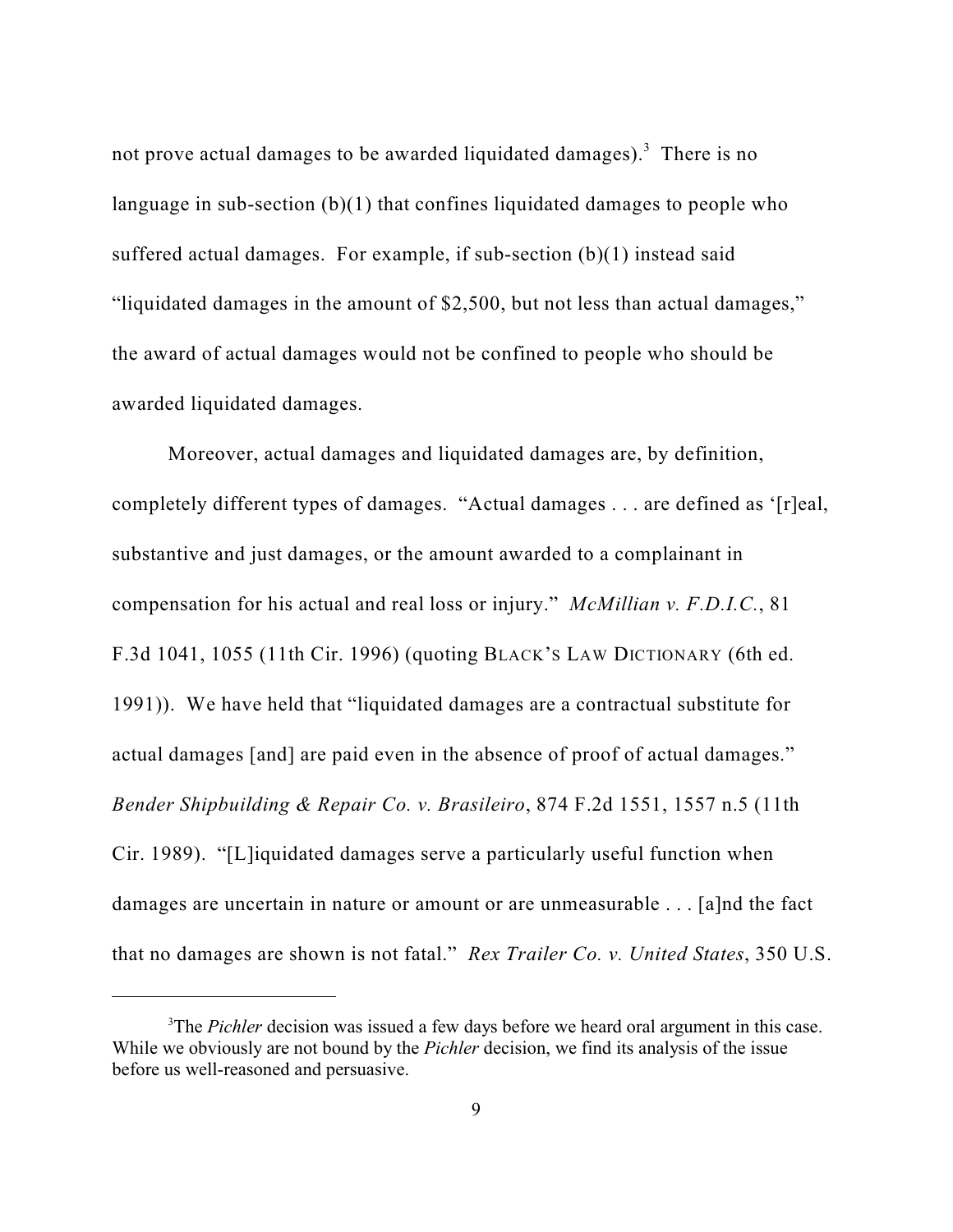not prove actual damages to be awarded liquidated damages).<sup>3</sup> There is no language in sub-section (b)(1) that confines liquidated damages to people who suffered actual damages. For example, if sub-section (b)(1) instead said "liquidated damages in the amount of \$2,500, but not less than actual damages," the award of actual damages would not be confined to people who should be awarded liquidated damages.

Moreover, actual damages and liquidated damages are, by definition, completely different types of damages. "Actual damages . . . are defined as '[r]eal, substantive and just damages, or the amount awarded to a complainant in compensation for his actual and real loss or injury." *McMillian v. F.D.I.C.*, 81 F.3d 1041, 1055 (11th Cir. 1996) (quoting BLACK'S LAW DICTIONARY (6th ed. 1991)). We have held that "liquidated damages are a contractual substitute for actual damages [and] are paid even in the absence of proof of actual damages." *Bender Shipbuilding & Repair Co. v. Brasileiro*, 874 F.2d 1551, 1557 n.5 (11th Cir. 1989). "[L]iquidated damages serve a particularly useful function when damages are uncertain in nature or amount or are unmeasurable . . . [a]nd the fact that no damages are shown is not fatal." *Rex Trailer Co. v. United States*, 350 U.S.

<sup>&</sup>lt;sup>3</sup>The *Pichler* decision was issued a few days before we heard oral argument in this case. While we obviously are not bound by the *Pichler* decision, we find its analysis of the issue before us well-reasoned and persuasive.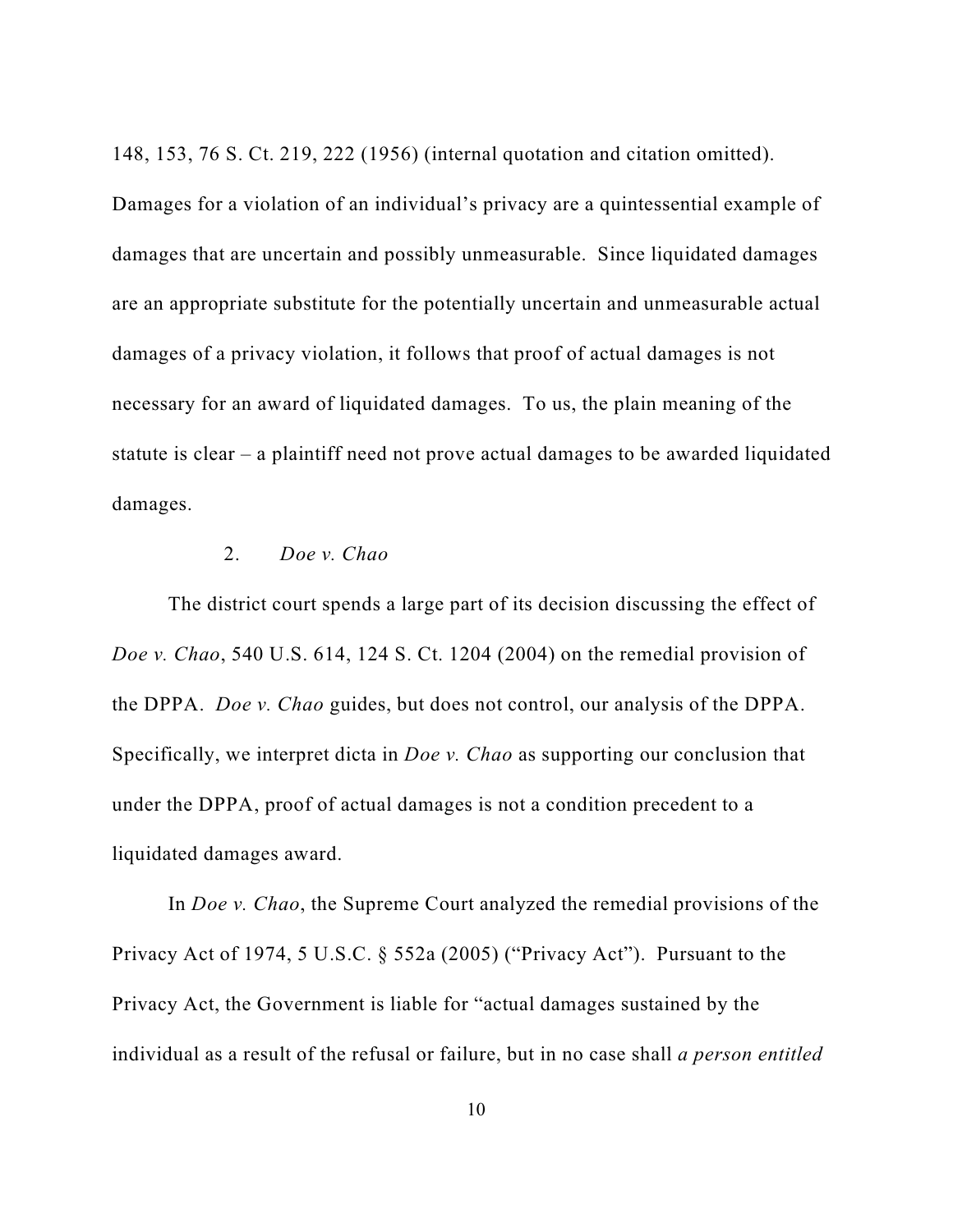148, 153, 76 S. Ct. 219, 222 (1956) (internal quotation and citation omitted).

Damages for a violation of an individual's privacy are a quintessential example of damages that are uncertain and possibly unmeasurable. Since liquidated damages are an appropriate substitute for the potentially uncertain and unmeasurable actual damages of a privacy violation, it follows that proof of actual damages is not necessary for an award of liquidated damages. To us, the plain meaning of the statute is clear – a plaintiff need not prove actual damages to be awarded liquidated damages.

## 2. *Doe v. Chao*

The district court spends a large part of its decision discussing the effect of *Doe v. Chao*, 540 U.S. 614, 124 S. Ct. 1204 (2004) on the remedial provision of the DPPA. *Doe v. Chao* guides, but does not control, our analysis of the DPPA. Specifically, we interpret dicta in *Doe v. Chao* as supporting our conclusion that under the DPPA, proof of actual damages is not a condition precedent to a liquidated damages award.

In *Doe v. Chao*, the Supreme Court analyzed the remedial provisions of the Privacy Act of 1974, 5 U.S.C. § 552a (2005) ("Privacy Act"). Pursuant to the Privacy Act, the Government is liable for "actual damages sustained by the individual as a result of the refusal or failure, but in no case shall *a person entitled*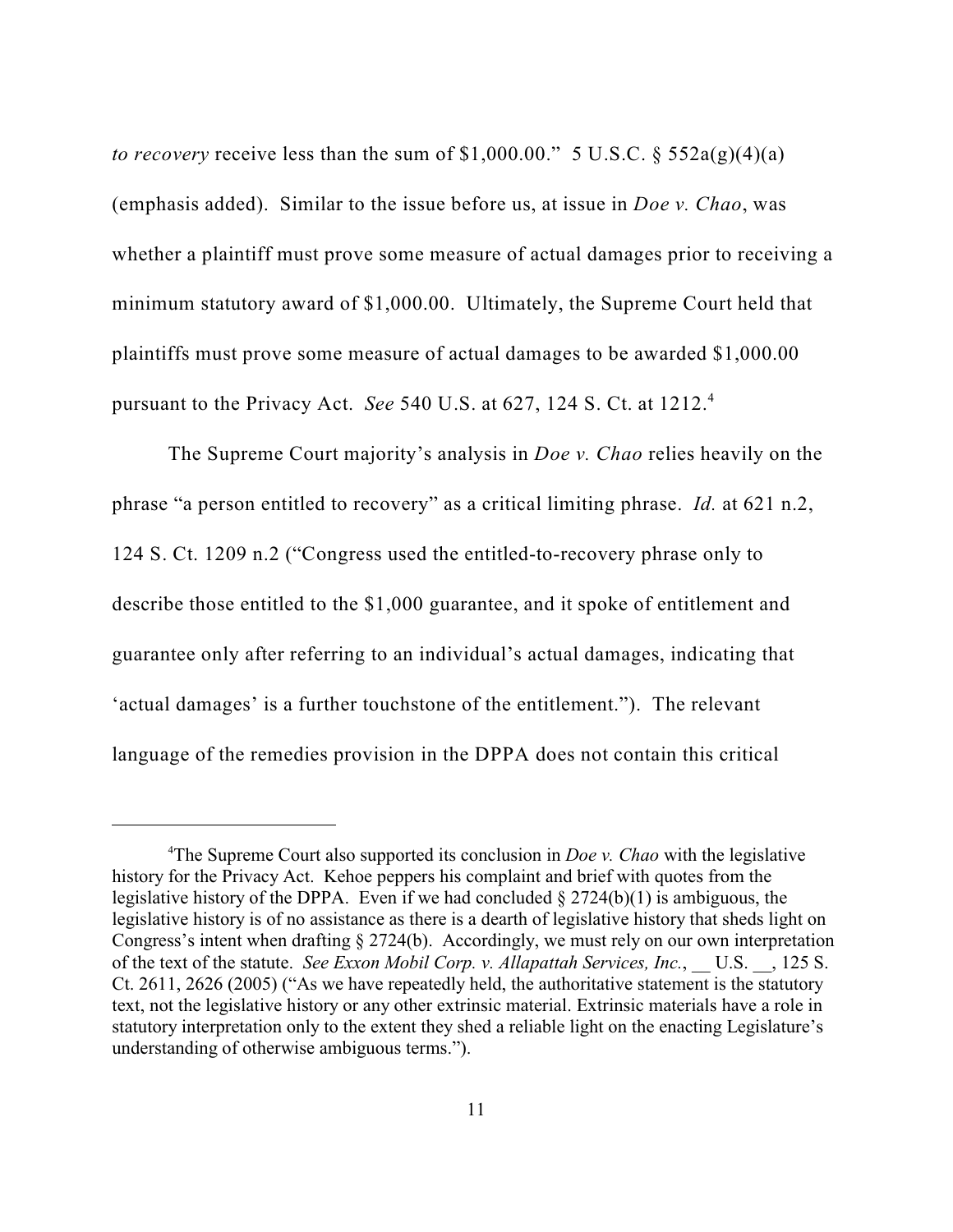*to recovery* receive less than the sum of  $$1,000.00."$  5 U.S.C.  $§$  552a(g)(4)(a) (emphasis added). Similar to the issue before us, at issue in *Doe v. Chao*, was whether a plaintiff must prove some measure of actual damages prior to receiving a minimum statutory award of \$1,000.00. Ultimately, the Supreme Court held that plaintiffs must prove some measure of actual damages to be awarded \$1,000.00 pursuant to the Privacy Act. *See* 540 U.S. at 627, 124 S. Ct. at 1212. 4

The Supreme Court majority's analysis in *Doe v. Chao* relies heavily on the phrase "a person entitled to recovery" as a critical limiting phrase. *Id.* at 621 n.2, 124 S. Ct. 1209 n.2 ("Congress used the entitled-to-recovery phrase only to describe those entitled to the \$1,000 guarantee, and it spoke of entitlement and guarantee only after referring to an individual's actual damages, indicating that 'actual damages' is a further touchstone of the entitlement."). The relevant language of the remedies provision in the DPPA does not contain this critical

<sup>&</sup>lt;sup>4</sup>The Supreme Court also supported its conclusion in *Doe v. Chao* with the legislative history for the Privacy Act. Kehoe peppers his complaint and brief with quotes from the legislative history of the DPPA. Even if we had concluded  $\S 2724(b)(1)$  is ambiguous, the legislative history is of no assistance as there is a dearth of legislative history that sheds light on Congress's intent when drafting § 2724(b). Accordingly, we must rely on our own interpretation of the text of the statute. *See Exxon Mobil Corp. v. Allapattah Services, Inc.*, U.S. , 125 S. Ct. 2611, 2626 (2005) ("As we have repeatedly held, the authoritative statement is the statutory text, not the legislative history or any other extrinsic material. Extrinsic materials have a role in statutory interpretation only to the extent they shed a reliable light on the enacting Legislature's understanding of otherwise ambiguous terms.").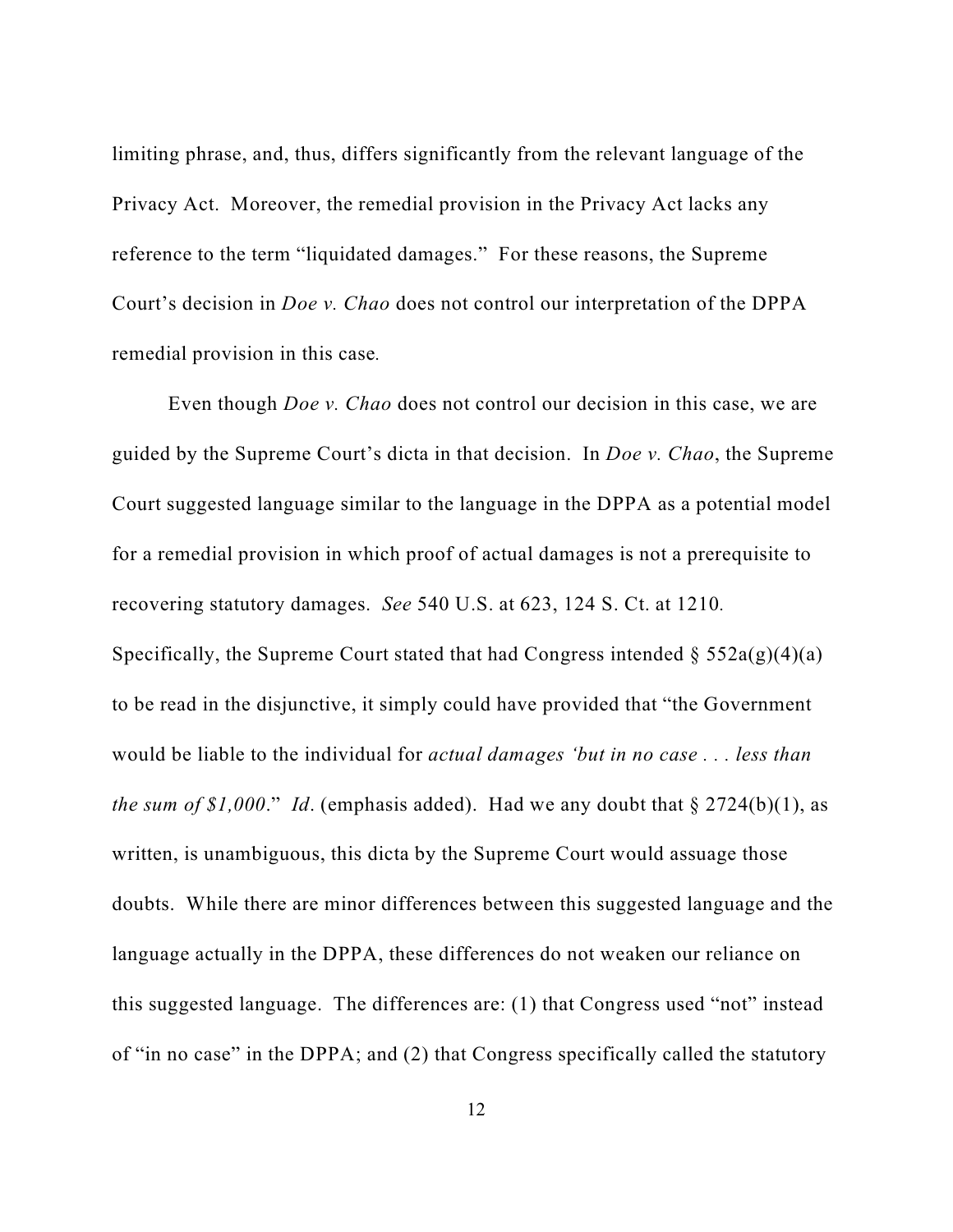limiting phrase, and, thus, differs significantly from the relevant language of the Privacy Act. Moreover, the remedial provision in the Privacy Act lacks any reference to the term "liquidated damages." For these reasons, the Supreme Court's decision in *Doe v. Chao* does not control our interpretation of the DPPA remedial provision in this case*.* 

Even though *Doe v. Chao* does not control our decision in this case, we are guided by the Supreme Court's dicta in that decision. In *Doe v. Chao*, the Supreme Court suggested language similar to the language in the DPPA as a potential model for a remedial provision in which proof of actual damages is not a prerequisite to recovering statutory damages. *See* 540 U.S. at 623, 124 S. Ct. at 1210*.*  Specifically, the Supreme Court stated that had Congress intended  $\S 552a(g)(4)(a)$ to be read in the disjunctive, it simply could have provided that "the Government would be liable to the individual for *actual damages 'but in no case . . . less than the sum of \$1,000.*" *Id.* (emphasis added). Had we any doubt that  $\S 2724(b)(1)$ , as written, is unambiguous, this dicta by the Supreme Court would assuage those doubts. While there are minor differences between this suggested language and the language actually in the DPPA, these differences do not weaken our reliance on this suggested language. The differences are: (1) that Congress used "not" instead of "in no case" in the DPPA; and (2) that Congress specifically called the statutory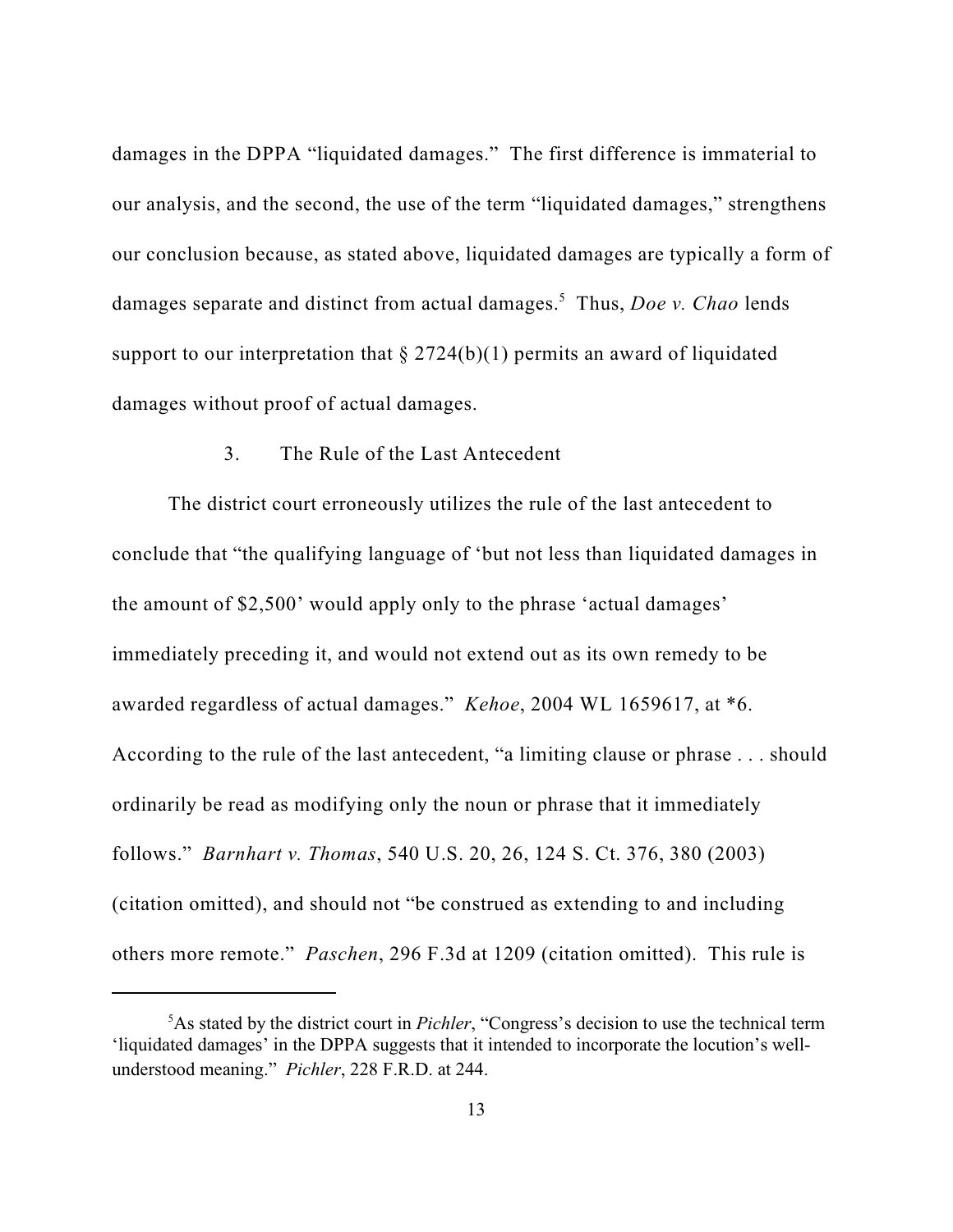damages in the DPPA "liquidated damages." The first difference is immaterial to our analysis, and the second, the use of the term "liquidated damages," strengthens our conclusion because, as stated above, liquidated damages are typically a form of damages separate and distinct from actual damages.<sup>5</sup> Thus, *Doe v. Chao* lends support to our interpretation that  $\S 2724(b)(1)$  permits an award of liquidated damages without proof of actual damages.

## 3. The Rule of the Last Antecedent

The district court erroneously utilizes the rule of the last antecedent to conclude that "the qualifying language of 'but not less than liquidated damages in the amount of \$2,500' would apply only to the phrase 'actual damages' immediately preceding it, and would not extend out as its own remedy to be awarded regardless of actual damages." *Kehoe*, 2004 WL 1659617, at \*6. According to the rule of the last antecedent, "a limiting clause or phrase . . . should ordinarily be read as modifying only the noun or phrase that it immediately follows." *Barnhart v. Thomas*, 540 U.S. 20, 26, 124 S. Ct. 376, 380 (2003) (citation omitted), and should not "be construed as extending to and including others more remote." *Paschen*, 296 F.3d at 1209 (citation omitted). This rule is

<sup>&</sup>lt;sup>5</sup>As stated by the district court in *Pichler*, "Congress's decision to use the technical term 'liquidated damages' in the DPPA suggests that it intended to incorporate the locution's wellunderstood meaning." *Pichler*, 228 F.R.D. at 244.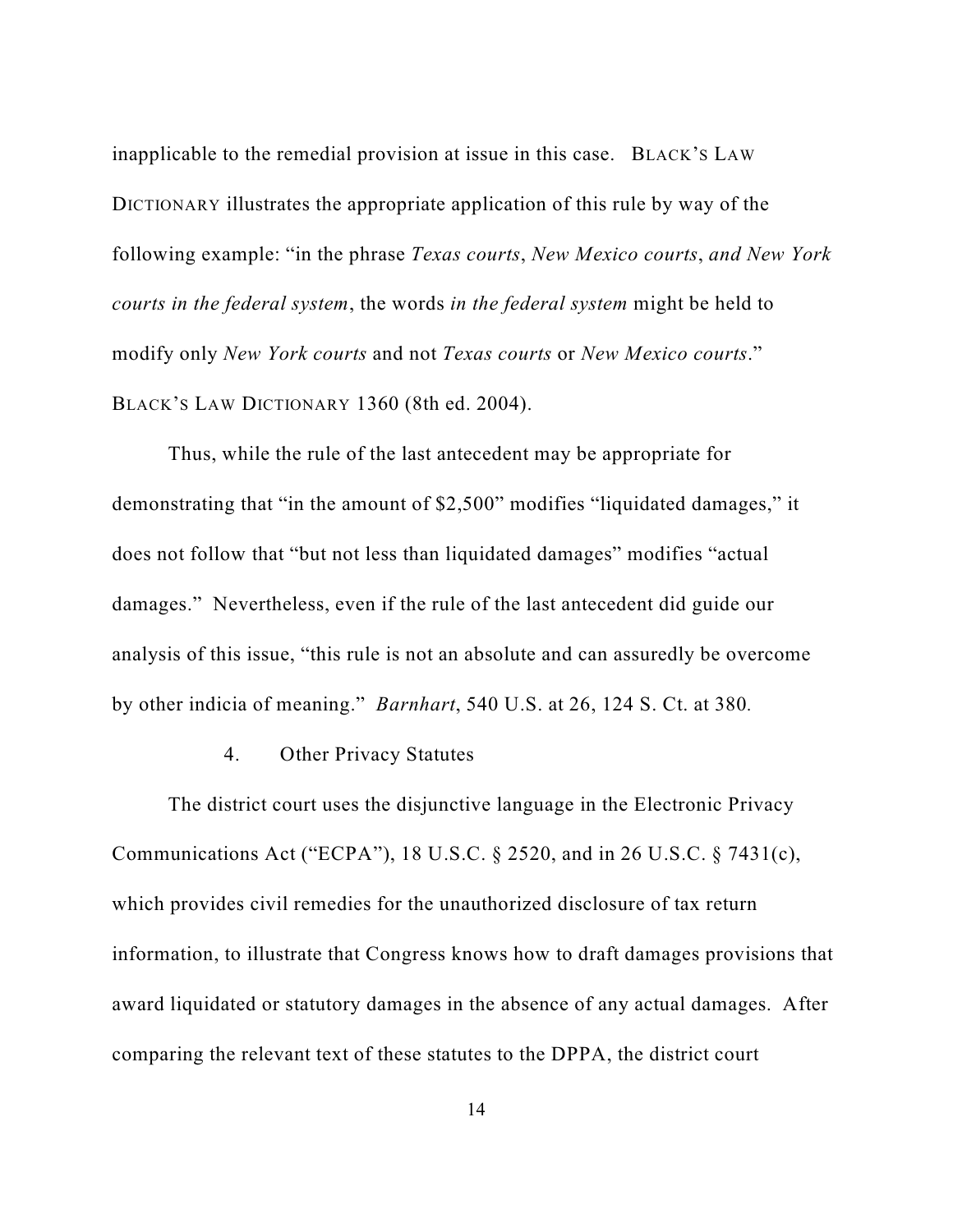inapplicable to the remedial provision at issue in this case. BLACK'S LAW DICTIONARY illustrates the appropriate application of this rule by way of the following example: "in the phrase *Texas courts*, *New Mexico courts*, *and New York courts in the federal system*, the words *in the federal system* might be held to modify only *New York courts* and not *Texas courts* or *New Mexico courts.*" BLACK'S LAW DICTIONARY 1360 (8th ed. 2004).

Thus, while the rule of the last antecedent may be appropriate for demonstrating that "in the amount of \$2,500" modifies "liquidated damages," it does not follow that "but not less than liquidated damages" modifies "actual damages." Nevertheless, even if the rule of the last antecedent did guide our analysis of this issue, "this rule is not an absolute and can assuredly be overcome by other indicia of meaning." *Barnhart*, 540 U.S. at 26, 124 S. Ct. at 380*.*

#### 4. Other Privacy Statutes

The district court uses the disjunctive language in the Electronic Privacy Communications Act ("ECPA"), 18 U.S.C. § 2520, and in 26 U.S.C. § 7431(c), which provides civil remedies for the unauthorized disclosure of tax return information, to illustrate that Congress knows how to draft damages provisions that award liquidated or statutory damages in the absence of any actual damages. After comparing the relevant text of these statutes to the DPPA, the district court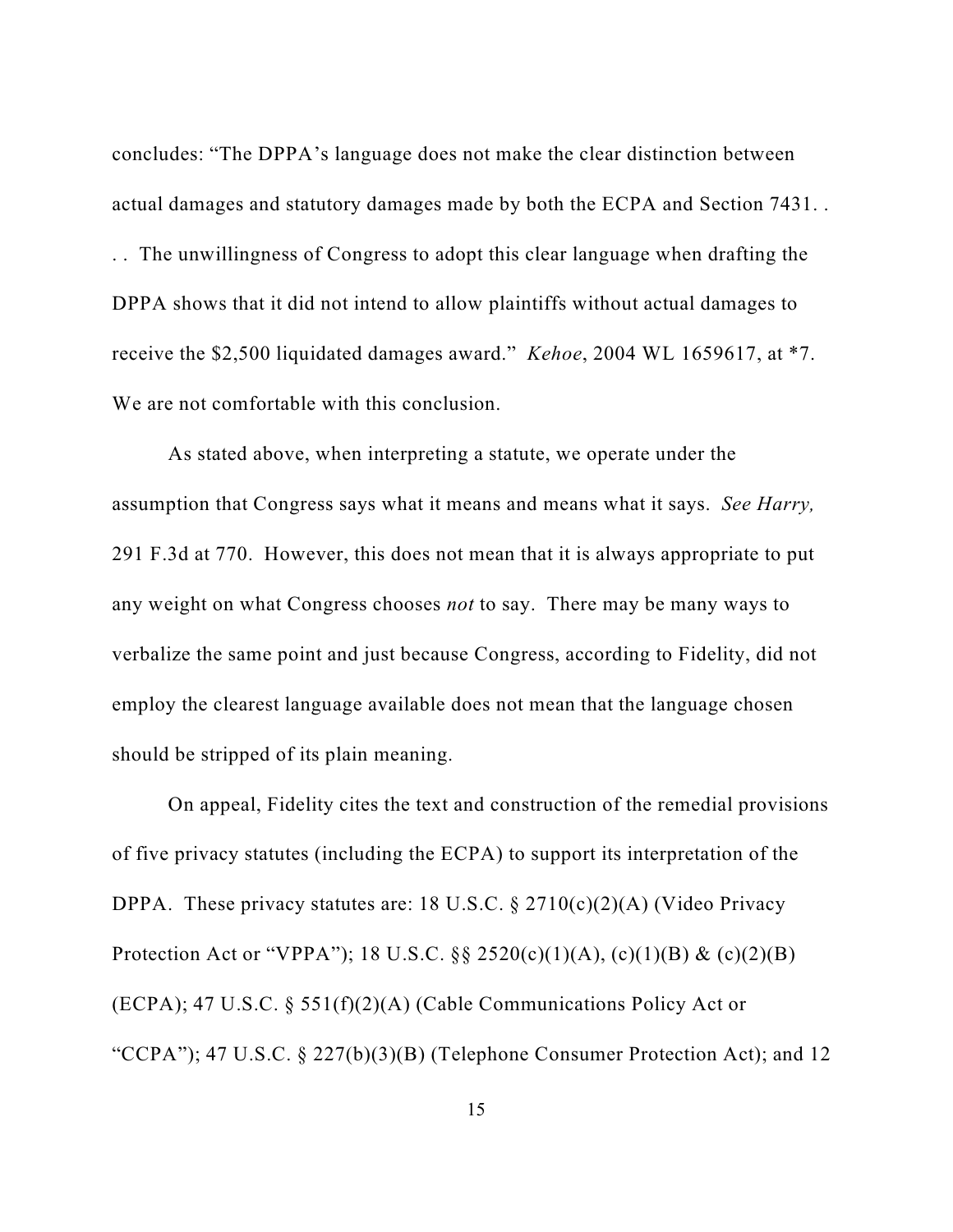concludes: "The DPPA's language does not make the clear distinction between actual damages and statutory damages made by both the ECPA and Section 7431. . . . The unwillingness of Congress to adopt this clear language when drafting the DPPA shows that it did not intend to allow plaintiffs without actual damages to receive the \$2,500 liquidated damages award." *Kehoe*, 2004 WL 1659617, at \*7. We are not comfortable with this conclusion.

As stated above, when interpreting a statute, we operate under the assumption that Congress says what it means and means what it says. *See Harry,* 291 F.3d at 770. However, this does not mean that it is always appropriate to put any weight on what Congress chooses *not* to say. There may be many ways to verbalize the same point and just because Congress, according to Fidelity, did not employ the clearest language available does not mean that the language chosen should be stripped of its plain meaning.

On appeal, Fidelity cites the text and construction of the remedial provisions of five privacy statutes (including the ECPA) to support its interpretation of the DPPA. These privacy statutes are: 18 U.S.C.  $\S 2710(c)(2)(A)$  (Video Privacy Protection Act or "VPPA"); 18 U.S.C. §§ 2520(c)(1)(A), (c)(1)(B) & (c)(2)(B) (ECPA); 47 U.S.C. § 551(f)(2)(A) (Cable Communications Policy Act or "CCPA"); 47 U.S.C.  $\S 227(b)(3)(B)$  (Telephone Consumer Protection Act); and 12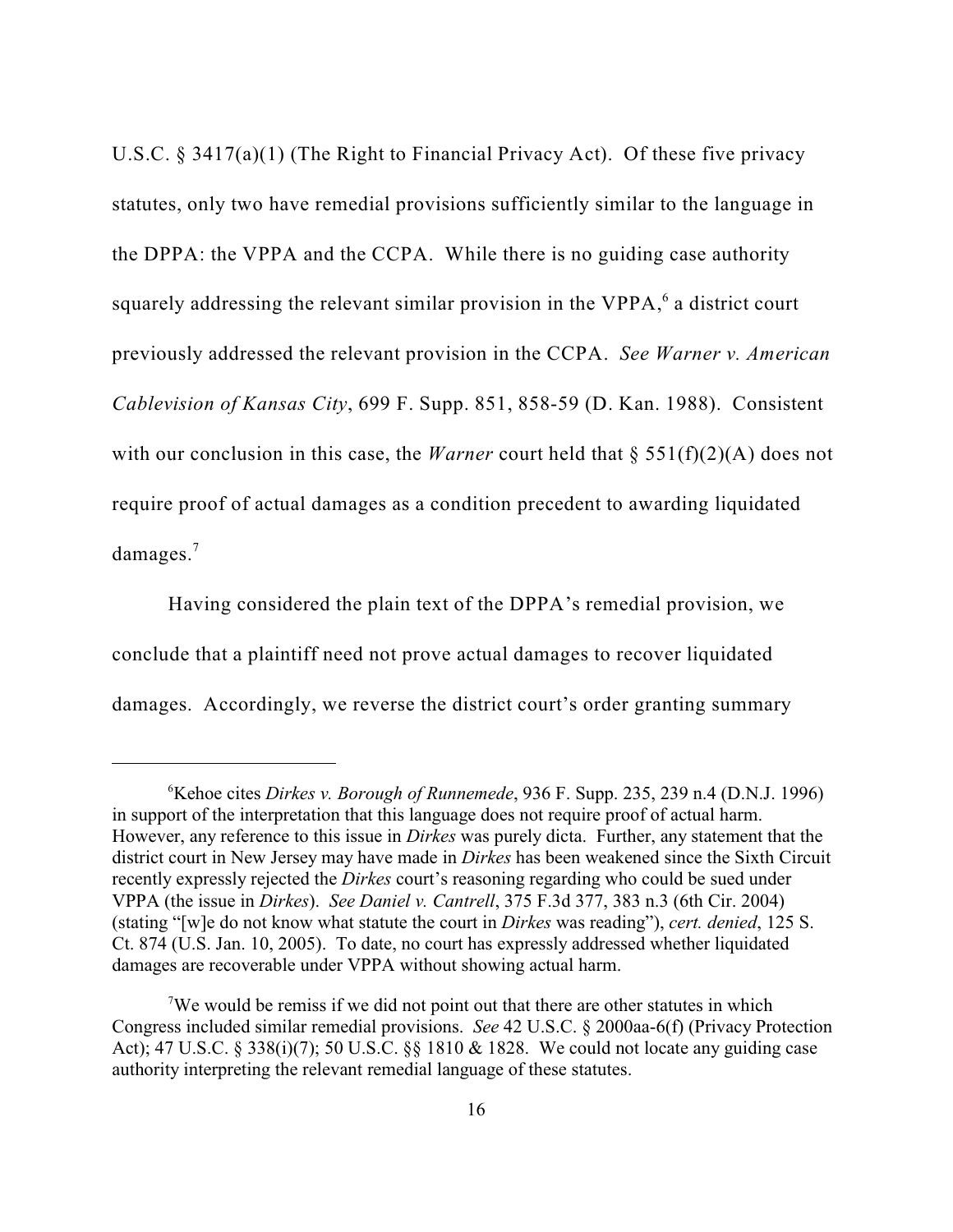U.S.C. § 3417(a)(1) (The Right to Financial Privacy Act). Of these five privacy statutes, only two have remedial provisions sufficiently similar to the language in the DPPA: the VPPA and the CCPA. While there is no guiding case authority squarely addressing the relevant similar provision in the VPPA, $<sup>6</sup>$  a district court</sup> previously addressed the relevant provision in the CCPA. *See Warner v. American Cablevision of Kansas City*, 699 F. Supp. 851, 858-59 (D. Kan. 1988). Consistent with our conclusion in this case, the *Warner* court held that § 551(f)(2)(A) does not require proof of actual damages as a condition precedent to awarding liquidated damages.<sup>7</sup>

Having considered the plain text of the DPPA's remedial provision, we conclude that a plaintiff need not prove actual damages to recover liquidated damages. Accordingly, we reverse the district court's order granting summary

<sup>&</sup>lt;sup>6</sup>Kehoe cites *Dirkes v. Borough of Runnemede*, 936 F. Supp. 235, 239 n.4 (D.N.J. 1996) in support of the interpretation that this language does not require proof of actual harm. However, any reference to this issue in *Dirkes* was purely dicta. Further, any statement that the district court in New Jersey may have made in *Dirkes* has been weakened since the Sixth Circuit recently expressly rejected the *Dirkes* court's reasoning regarding who could be sued under VPPA (the issue in *Dirkes*). *See Daniel v. Cantrell*, 375 F.3d 377, 383 n.3 (6th Cir. 2004) (stating "[w]e do not know what statute the court in *Dirkes* was reading"), *cert. denied*, 125 S. Ct. 874 (U.S. Jan. 10, 2005). To date, no court has expressly addressed whether liquidated damages are recoverable under VPPA without showing actual harm.

We would be remiss if we did not point out that there are other statutes in which Congress included similar remedial provisions. *See* 42 U.S.C. § 2000aa-6(f) (Privacy Protection Act); 47 U.S.C. § 338(i)(7); 50 U.S.C. §§ 1810 & 1828. We could not locate any guiding case authority interpreting the relevant remedial language of these statutes.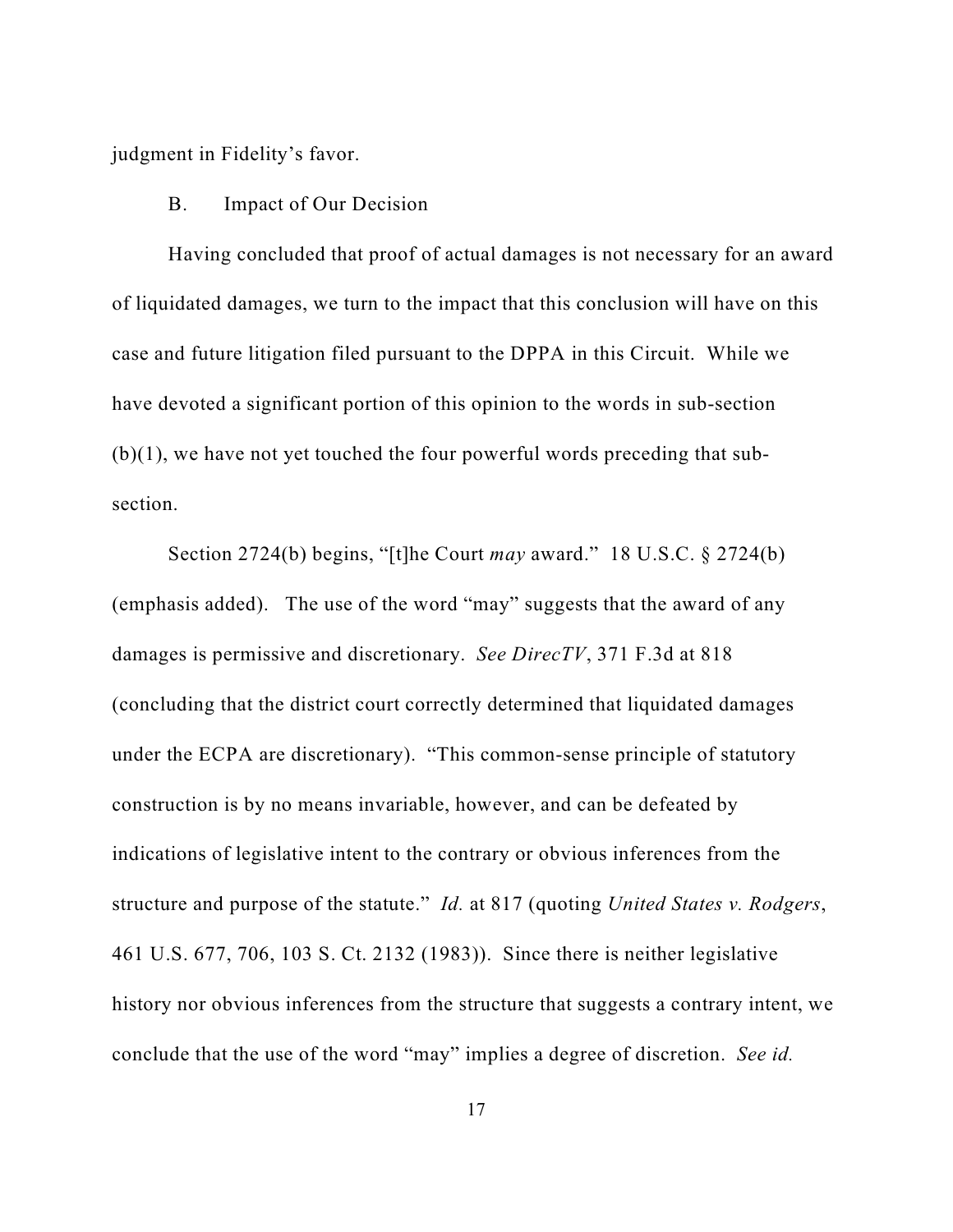judgment in Fidelity's favor.

#### B. Impact of Our Decision

Having concluded that proof of actual damages is not necessary for an award of liquidated damages, we turn to the impact that this conclusion will have on this case and future litigation filed pursuant to the DPPA in this Circuit. While we have devoted a significant portion of this opinion to the words in sub-section  $(b)(1)$ , we have not yet touched the four powerful words preceding that subsection.

Section 2724(b) begins, "[t]he Court *may* award." 18 U.S.C. § 2724(b) (emphasis added). The use of the word "may" suggests that the award of any damages is permissive and discretionary. *See DirecTV*, 371 F.3d at 818 (concluding that the district court correctly determined that liquidated damages under the ECPA are discretionary). "This common-sense principle of statutory construction is by no means invariable, however, and can be defeated by indications of legislative intent to the contrary or obvious inferences from the structure and purpose of the statute." *Id.* at 817 (quoting *United States v. Rodgers*, 461 U.S. 677, 706, 103 S. Ct. 2132 (1983)). Since there is neither legislative history nor obvious inferences from the structure that suggests a contrary intent, we conclude that the use of the word "may" implies a degree of discretion. *See id.*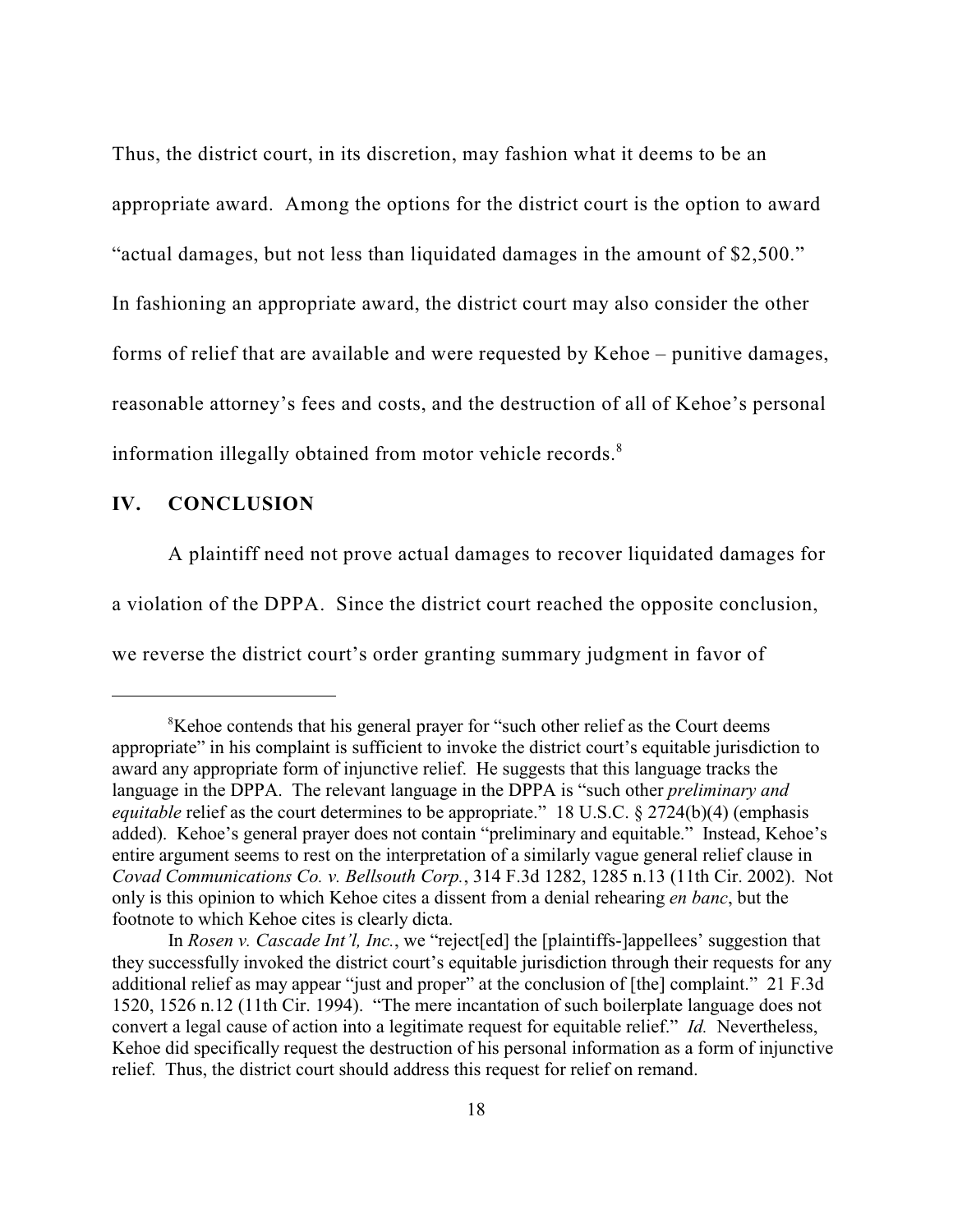Thus, the district court, in its discretion, may fashion what it deems to be an appropriate award. Among the options for the district court is the option to award "actual damages, but not less than liquidated damages in the amount of \$2,500." In fashioning an appropriate award, the district court may also consider the other forms of relief that are available and were requested by Kehoe – punitive damages, reasonable attorney's fees and costs, and the destruction of all of Kehoe's personal information illegally obtained from motor vehicle records.<sup>8</sup>

#### **IV. CONCLUSION**

A plaintiff need not prove actual damages to recover liquidated damages for a violation of the DPPA. Since the district court reached the opposite conclusion, we reverse the district court's order granting summary judgment in favor of

<sup>&</sup>lt;sup>8</sup>Kehoe contends that his general prayer for "such other relief as the Court deems" appropriate" in his complaint is sufficient to invoke the district court's equitable jurisdiction to award any appropriate form of injunctive relief. He suggests that this language tracks the language in the DPPA. The relevant language in the DPPA is "such other *preliminary and equitable* relief as the court determines to be appropriate." 18 U.S.C. § 2724(b)(4) (emphasis added). Kehoe's general prayer does not contain "preliminary and equitable." Instead, Kehoe's entire argument seems to rest on the interpretation of a similarly vague general relief clause in *Covad Communications Co. v. Bellsouth Corp.*, 314 F.3d 1282, 1285 n.13 (11th Cir. 2002). Not only is this opinion to which Kehoe cites a dissent from a denial rehearing *en banc*, but the footnote to which Kehoe cites is clearly dicta.

In *Rosen v. Cascade Int'l, Inc.*, we "reject [ed] the [plaintiffs-]appellees' suggestion that they successfully invoked the district court's equitable jurisdiction through their requests for any additional relief as may appear "just and proper" at the conclusion of [the] complaint." 21 F.3d 1520, 1526 n.12 (11th Cir. 1994). "The mere incantation of such boilerplate language does not convert a legal cause of action into a legitimate request for equitable relief." *Id.* Nevertheless, Kehoe did specifically request the destruction of his personal information as a form of injunctive relief. Thus, the district court should address this request for relief on remand.